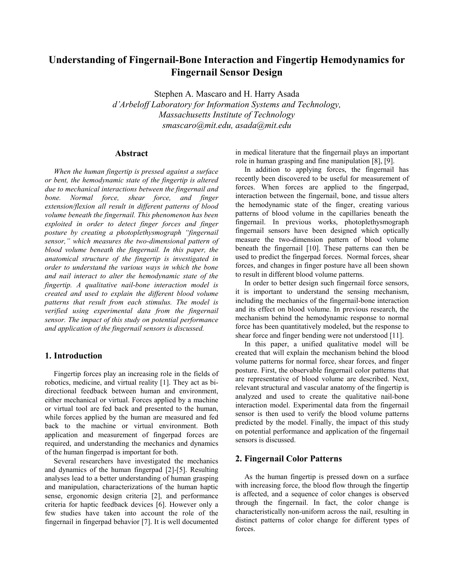# **Understanding of Fingernail-Bone Interaction and Fingertip Hemodynamics for Fingernail Sensor Design**

Stephen A. Mascaro and H. Harry Asada *d'Arbeloff Laboratory for Information Systems and Technology, Massachusetts Institute of Technology smascaro@mit.edu, asada@mit.edu*

#### **Abstract**

*When the human fingertip is pressed against a surface or bent, the hemodynamic state of the fingertip is altered due to mechanical interactions between the fingernail and bone. Normal force, shear force, and finger extension/flexion all result in different patterns of blood volume beneath the fingernail. This phenomenon has been exploited in order to detect finger forces and finger posture by creating a photoplethysmograph "fingernail sensor," which measures the two-dimensional pattern of blood volume beneath the fingernail. In this paper, the anatomical structure of the fingertip is investigated in order to understand the various ways in which the bone and nail interact to alter the hemodynamic state of the fingertip. A qualitative nail-bone interaction model is created and used to explain the different blood volume patterns that result from each stimulus. The model is verified using experimental data from the fingernail sensor. The impact of this study on potential performance and application of the fingernail sensors is discussed.* 

# **1. Introduction**

Fingertip forces play an increasing role in the fields of robotics, medicine, and virtual reality [1]. They act as bidirectional feedback between human and environment, either mechanical or virtual. Forces applied by a machine or virtual tool are fed back and presented to the human, while forces applied by the human are measured and fed back to the machine or virtual environment. Both application and measurement of fingerpad forces are required, and understanding the mechanics and dynamics of the human fingerpad is important for both.

Several researchers have investigated the mechanics and dynamics of the human fingerpad [2]-[5]. Resulting analyses lead to a better understanding of human grasping and manipulation, characterizations of the human haptic sense, ergonomic design criteria [2], and performance criteria for haptic feedback devices [6]. However only a few studies have taken into account the role of the fingernail in fingerpad behavior [7]. It is well documented in medical literature that the fingernail plays an important role in human grasping and fine manipulation [8], [9].

In addition to applying forces, the fingernail has recently been discovered to be useful for measurement of forces. When forces are applied to the fingerpad, interaction between the fingernail, bone, and tissue alters the hemodynamic state of the finger, creating various patterns of blood volume in the capillaries beneath the fingernail. In previous works, photoplethysmograph fingernail sensors have been designed which optically measure the two-dimension pattern of blood volume beneath the fingernail [10]. These patterns can then be used to predict the fingerpad forces. Normal forces, shear forces, and changes in finger posture have all been shown to result in different blood volume patterns.

In order to better design such fingernail force sensors, it is important to understand the sensing mechanism, including the mechanics of the fingernail-bone interaction and its effect on blood volume. In previous research, the mechanism behind the hemodynamic response to normal force has been quantitatively modeled, but the response to shear force and finger bending were not understood [11].

In this paper, a unified qualitative model will be created that will explain the mechanism behind the blood volume patterns for normal force, shear forces, and finger posture. First, the observable fingernail color patterns that are representative of blood volume are described. Next, relevant structural and vascular anatomy of the fingertip is analyzed and used to create the qualitative nail-bone interaction model. Experimental data from the fingernail sensor is then used to verify the blood volume patterns predicted by the model. Finally, the impact of this study on potential performance and application of the fingernail sensors is discussed.

# **2. Fingernail Color Patterns**

As the human fingertip is pressed down on a surface with increasing force, the blood flow through the fingertip is affected, and a sequence of color changes is observed through the fingernail. In fact, the color change is characteristically non-uniform across the nail, resulting in distinct patterns of color change for different types of **forces**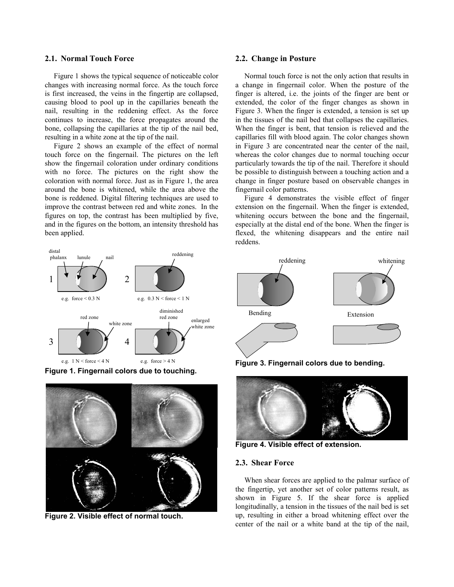#### **2.1. Normal Touch Force**

Figure 1 shows the typical sequence of noticeable color changes with increasing normal force. As the touch force is first increased, the veins in the fingertip are collapsed, causing blood to pool up in the capillaries beneath the nail, resulting in the reddening effect. As the force continues to increase, the force propagates around the bone, collapsing the capillaries at the tip of the nail bed, resulting in a white zone at the tip of the nail.

Figure 2 shows an example of the effect of normal touch force on the fingernail. The pictures on the left show the fingernail coloration under ordinary conditions with no force. The pictures on the right show the coloration with normal force. Just as in Figure 1, the area around the bone is whitened, while the area above the bone is reddened. Digital filtering techniques are used to improve the contrast between red and white zones. In the figures on top, the contrast has been multiplied by five, and in the figures on the bottom, an intensity threshold has been applied.







**Figure 2. Visible effect of normal touch.** 

#### **2.2. Change in Posture**

Normal touch force is not the only action that results in a change in fingernail color. When the posture of the finger is altered, i.e. the joints of the finger are bent or extended, the color of the finger changes as shown in Figure 3. When the finger is extended, a tension is set up in the tissues of the nail bed that collapses the capillaries. When the finger is bent, that tension is relieved and the capillaries fill with blood again. The color changes shown in Figure 3 are concentrated near the center of the nail, whereas the color changes due to normal touching occur particularly towards the tip of the nail. Therefore it should be possible to distinguish between a touching action and a change in finger posture based on observable changes in fingernail color patterns.

Figure 4 demonstrates the visible effect of finger extension on the fingernail. When the finger is extended, whitening occurs between the bone and the fingernail, especially at the distal end of the bone. When the finger is flexed, the whitening disappears and the entire nail reddens.



**Figure 3. Fingernail colors due to bending.** 



**Figure 4. Visible effect of extension.** 

#### **2.3. Shear Force**

When shear forces are applied to the palmar surface of the fingertip, yet another set of color patterns result, as shown in Figure 5. If the shear force is applied longitudinally, a tension in the tissues of the nail bed is set up, resulting in either a broad whitening effect over the center of the nail or a white band at the tip of the nail,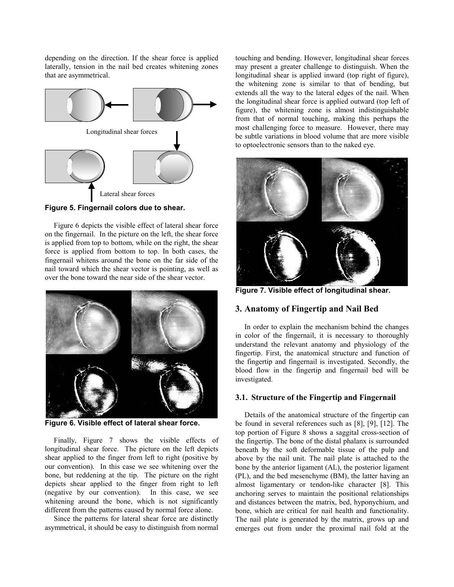depending on the direction. If the shear force is applied laterally, tension in the nail bed creates whitening zones that are asymmetrical.



**Figure 5. Fingernail colors due to shear.** 

Figure 6 depicts the visible effect of lateral shear force on the fingernail. In the picture on the left, the shear force is applied from top to bottom, while on the right, the shear force is applied from bottom to top. In both cases, the fingernail whitens around the bone on the far side of the nail toward which the shear vector is pointing, as well as over the bone toward the near side of the shear vector.



**Figure 6. Visible effect of lateral shear force.** 

Finally, Figure 7 shows the visible effects of longitudinal shear force. The picture on the left depicts shear applied to the finger from left to right (positive by our convention). In this case we see whitening over the bone, but reddening at the tip. The picture on the right depicts shear applied to the finger from right to left (negative by our convention). In this case, we see whitening around the bone, which is not significantly different from the patterns caused by normal force alone.

Since the patterns for lateral shear force are distinctly asymmetrical, it should be easy to distinguish from normal

touching and bending. However, longitudinal shear forces may present a greater challenge to distinguish. When the longitudinal shear is applied inward (top right of figure), the whitening zone is similar to that of bending, but extends all the way to the lateral edges of the nail. When the longitudinal shear force is applied outward (top left of figure), the whitening zone is almost indistinguishable from that of normal touching, making this perhaps the most challenging force to measure. However, there may be subtle variations in blood volume that are more visible to optoelectronic sensors than to the naked eye.



**Figure 7. Visible effect of longitudinal shear.** 

# **3. Anatomy of Fingertip and Nail Bed**

In order to explain the mechanism behind the changes in color of the fingernail, it is necessary to thoroughly understand the relevant anatomy and physiology of the fingertip. First, the anatomical structure and function of the fingertip and fingernail is investigated. Secondly, the blood flow in the fingertip and fingernail bed will be investigated.

# **3.1. Structure of the Fingertip and Fingernail**

Details of the anatomical structure of the fingertip can be found in several references such as [8], [9], [12]. The top portion of Figure 8 shows a saggital cross-section of the fingertip. The bone of the distal phalanx is surrounded beneath by the soft deformable tissue of the pulp and above by the nail unit. The nail plate is attached to the bone by the anterior ligament (AL), the posterior ligament (PL), and the bed mesenchyme (BM), the latter having an almost ligamentary or tendon-like character [8]. This anchoring serves to maintain the positional relationships and distances between the matrix, bed, hyponychium, and bone, which are critical for nail health and functionality. The nail plate is generated by the matrix, grows up and emerges out from under the proximal nail fold at the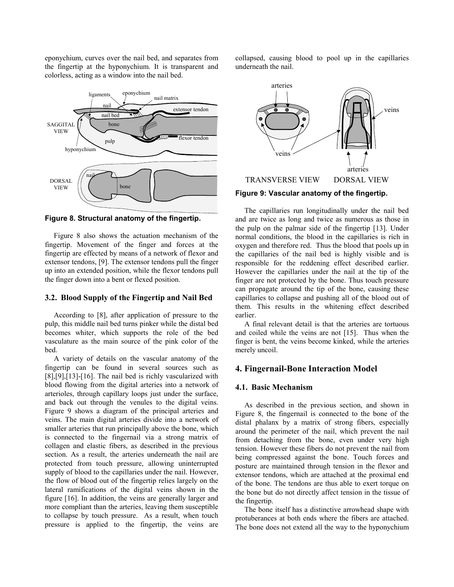eponychium, curves over the nail bed, and separates from the fingertip at the hyponychium. It is transparent and colorless, acting as a window into the nail bed.



**Figure 8. Structural anatomy of the fingertip.** 

Figure 8 also shows the actuation mechanism of the fingertip. Movement of the finger and forces at the fingertip are effected by means of a network of flexor and extensor tendons, [9]. The extensor tendons pull the finger up into an extended position, while the flexor tendons pull the finger down into a bent or flexed position.

# **3.2. Blood Supply of the Fingertip and Nail Bed**

According to [8], after application of pressure to the pulp, this middle nail bed turns pinker while the distal bed becomes whiter, which supports the role of the bed vasculature as the main source of the pink color of the bed.

A variety of details on the vascular anatomy of the fingertip can be found in several sources such as [8],[9],[13]-[16]. The nail bed is richly vascularized with blood flowing from the digital arteries into a network of arterioles, through capillary loops just under the surface, and back out through the venules to the digital veins. Figure 9 shows a diagram of the principal arteries and veins. The main digital arteries divide into a network of smaller arteries that run principally above the bone, which is connected to the fingernail via a strong matrix of collagen and elastic fibers, as described in the previous section. As a result, the arteries underneath the nail are protected from touch pressure, allowing uninterrupted supply of blood to the capillaries under the nail. However, the flow of blood out of the fingertip relies largely on the lateral ramifications of the digital veins shown in the figure [16]. In addition, the veins are generally larger and more compliant than the arteries, leaving them susceptible to collapse by touch pressure. As a result, when touch pressure is applied to the fingertip, the veins are collapsed, causing blood to pool up in the capillaries underneath the nail.



**Figure 9: Vascular anatomy of the fingertip.** 

The capillaries run longitudinally under the nail bed and are twice as long and twice as numerous as those in the pulp on the palmar side of the fingertip [13]. Under normal conditions, the blood in the capillaries is rich in oxygen and therefore red. Thus the blood that pools up in the capillaries of the nail bed is highly visible and is responsible for the reddening effect described earlier. However the capillaries under the nail at the tip of the finger are not protected by the bone. Thus touch pressure can propagate around the tip of the bone, causing these capillaries to collapse and pushing all of the blood out of them. This results in the whitening effect described earlier.

A final relevant detail is that the arteries are tortuous and coiled while the veins are not [15]. Thus when the finger is bent, the veins become kinked, while the arteries merely uncoil.

# **4. Fingernail-Bone Interaction Model**

#### **4.1. Basic Mechanism**

As described in the previous section, and shown in Figure 8, the fingernail is connected to the bone of the distal phalanx by a matrix of strong fibers, especially around the perimeter of the nail, which prevent the nail from detaching from the bone, even under very high tension. However these fibers do not prevent the nail from being compressed against the bone. Touch forces and posture are maintained through tension in the flexor and extensor tendons, which are attached at the proximal end of the bone. The tendons are thus able to exert torque on the bone but do not directly affect tension in the tissue of the fingertip.

The bone itself has a distinctive arrowhead shape with protuberances at both ends where the fibers are attached. The bone does not extend all the way to the hyponychium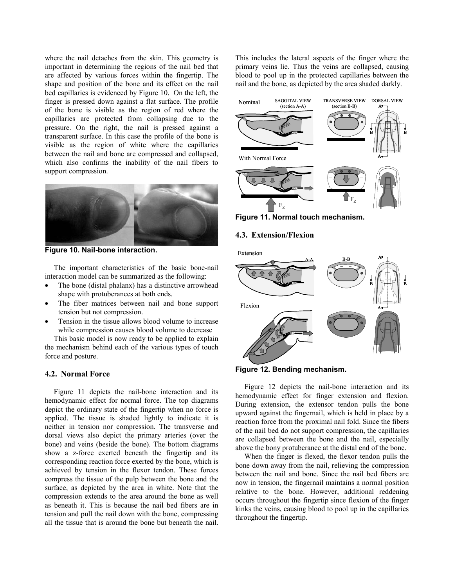where the nail detaches from the skin. This geometry is important in determining the regions of the nail bed that are affected by various forces within the fingertip. The shape and position of the bone and its effect on the nail bed capillaries is evidenced by Figure 10. On the left, the finger is pressed down against a flat surface. The profile of the bone is visible as the region of red where the capillaries are protected from collapsing due to the pressure. On the right, the nail is pressed against a transparent surface. In this case the profile of the bone is visible as the region of white where the capillaries between the nail and bone are compressed and collapsed, which also confirms the inability of the nail fibers to support compression.



**Figure 10. Nail-bone interaction.** 

The important characteristics of the basic bone-nail interaction model can be summarized as the following:

- $\bullet$  The bone (distal phalanx) has a distinctive arrowhead shape with protuberances at both ends.
- - The fiber matrices between nail and bone support tension but not compression.
- - Tension in the tissue allows blood volume to increase while compression causes blood volume to decrease

This basic model is now ready to be applied to explain the mechanism behind each of the various types of touch force and posture.

#### **4.2. Normal Force**

Figure 11 depicts the nail-bone interaction and its hemodynamic effect for normal force. The top diagrams depict the ordinary state of the fingertip when no force is applied. The tissue is shaded lightly to indicate it is neither in tension nor compression. The transverse and dorsal views also depict the primary arteries (over the bone) and veins (beside the bone). The bottom diagrams show a z-force exerted beneath the fingertip and its corresponding reaction force exerted by the bone, which is achieved by tension in the flexor tendon. These forces compress the tissue of the pulp between the bone and the surface, as depicted by the area in white. Note that the compression extends to the area around the bone as well as beneath it. This is because the nail bed fibers are in tension and pull the nail down with the bone, compressing all the tissue that is around the bone but beneath the nail.

This includes the lateral aspects of the finger where the primary veins lie. Thus the veins are collapsed, causing blood to pool up in the protected capillaries between the nail and the bone, as depicted by the area shaded darkly.



**Figure 11. Normal touch mechanism.** 

# **4.3. Extension/Flexion**

Extension  $A \wedge B$  B  $A$ A B || `<del>\| ||</del>′ || B  $A - A$  B-B Flexion



Figure 12 depicts the nail-bone interaction and its hemodynamic effect for finger extension and flexion. During extension, the extensor tendon pulls the bone upward against the fingernail, which is held in place by a reaction force from the proximal nail fold. Since the fibers of the nail bed do not support compression, the capillaries are collapsed between the bone and the nail, especially above the bony protuberance at the distal end of the bone.

When the finger is flexed, the flexor tendon pulls the bone down away from the nail, relieving the compression between the nail and bone. Since the nail bed fibers are now in tension, the fingernail maintains a normal position relative to the bone. However, additional reddening occurs throughout the fingertip since flexion of the finger kinks the veins, causing blood to pool up in the capillaries throughout the fingertip.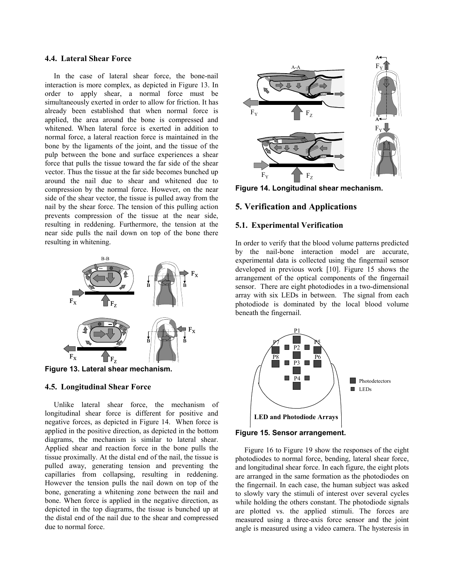#### **4.4. Lateral Shear Force**

In the case of lateral shear force, the bone-nail interaction is more complex, as depicted in Figure 13. In order to apply shear, a normal force must be simultaneously exerted in order to allow for friction. It has already been established that when normal force is applied, the area around the bone is compressed and whitened. When lateral force is exerted in addition to normal force, a lateral reaction force is maintained in the bone by the ligaments of the joint, and the tissue of the pulp between the bone and surface experiences a shear force that pulls the tissue toward the far side of the shear vector. Thus the tissue at the far side becomes bunched up around the nail due to shear and whitened due to compression by the normal force. However, on the near side of the shear vector, the tissue is pulled away from the nail by the shear force. The tension of this pulling action prevents compression of the tissue at the near side, resulting in reddening. Furthermore, the tension at the near side pulls the nail down on top of the bone there resulting in whitening.



**Figure 13. Lateral shear mechanism.** 

#### **4.5. Longitudinal Shear Force**

Unlike lateral shear force, the mechanism of longitudinal shear force is different for positive and negative forces, as depicted in Figure 14. When force is applied in the positive direction, as depicted in the bottom diagrams, the mechanism is similar to lateral shear. Applied shear and reaction force in the bone pulls the tissue proximally. At the distal end of the nail, the tissue is pulled away, generating tension and preventing the capillaries from collapsing, resulting in reddening. However the tension pulls the nail down on top of the bone, generating a whitening zone between the nail and bone. When force is applied in the negative direction, as depicted in the top diagrams, the tissue is bunched up at the distal end of the nail due to the shear and compressed due to normal force.



**Figure 14. Longitudinal shear mechanism.** 

#### **5. Verification and Applications**

#### **5.1. Experimental Verification**

In order to verify that the blood volume patterns predicted by the nail-bone interaction model are accurate, experimental data is collected using the fingernail sensor developed in previous work [10]. Figure 15 shows the arrangement of the optical components of the fingernail sensor. There are eight photodiodes in a two-dimensional array with six LEDs in between. The signal from each photodiode is dominated by the local blood volume beneath the fingernail.



**Figure 15. Sensor arrangement.** 

Figure 16 to Figure 19 show the responses of the eight photodiodes to normal force, bending, lateral shear force, and longitudinal shear force. In each figure, the eight plots are arranged in the same formation as the photodiodes on the fingernail. In each case, the human subject was asked to slowly vary the stimuli of interest over several cycles while holding the others constant. The photodiode signals are plotted vs. the applied stimuli. The forces are measured using a three-axis force sensor and the joint angle is measured using a video camera. The hysteresis in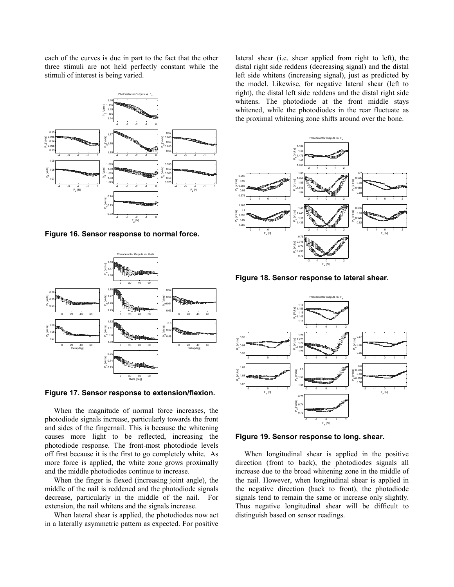each of the curves is due in part to the fact that the other three stimuli are not held perfectly constant while the stimuli of interest is being varied.



**Figure 16. Sensor response to normal force.** 



**Figure 17. Sensor response to extension/flexion.** 

When the magnitude of normal force increases, the photodiode signals increase, particularly towards the front and sides of the fingernail. This is because the whitening causes more light to be reflected, increasing the photodiode response. The front-most photodiode levels off first because it is the first to go completely white. As more force is applied, the white zone grows proximally and the middle photodiodes continue to increase.

When the finger is flexed (increasing joint angle), the middle of the nail is reddened and the photodiode signals decrease, particularly in the middle of the nail. For extension, the nail whitens and the signals increase.

When lateral shear is applied, the photodiodes now act in a laterally asymmetric pattern as expected. For positive lateral shear (i.e. shear applied from right to left), the distal right side reddens (decreasing signal) and the distal left side whitens (increasing signal), just as predicted by the model. Likewise, for negative lateral shear (left to right), the distal left side reddens and the distal right side whitens. The photodiode at the front middle stays whitened, while the photodiodes in the rear fluctuate as the proximal whitening zone shifts around over the bone.



**Figure 18. Sensor response to lateral shear.** 



**Figure 19. Sensor response to long. shear.** 

When longitudinal shear is applied in the positive direction (front to back), the photodiodes signals all increase due to the broad whitening zone in the middle of the nail. However, when longitudinal shear is applied in the negative direction (back to front), the photodiode signals tend to remain the same or increase only slightly. Thus negative longitudinal shear will be difficult to distinguish based on sensor readings.